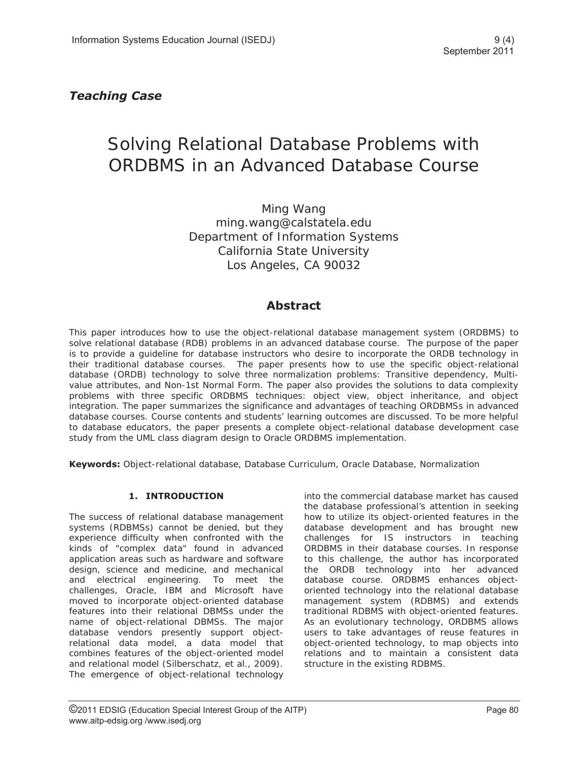# *Teaching Case*

# Solving Relational Database Problems with ORDBMS in an Advanced Database Course

Ming Wang ming.wang@calstatela.edu Department of Information Systems California State University Los Angeles, CA 90032

# **Abstract**

This paper introduces how to use the object-relational database management system (ORDBMS) to solve relational database (RDB) problems in an advanced database course. The purpose of the paper is to provide a guideline for database instructors who desire to incorporate the ORDB technology in their traditional database courses. The paper presents how to use the specific object-relational database (ORDB) technology to solve three normalization problems: Transitive dependency, Multivalue attributes, and Non-1st Normal Form. The paper also provides the solutions to data complexity problems with three specific ORDBMS techniques: object view, object inheritance, and object integration. The paper summarizes the significance and advantages of teaching ORDBMSs in advanced database courses. Course contents and students' learning outcomes are discussed. To be more helpful to database educators, the paper presents a complete object-relational database development case study from the UML class diagram design to Oracle ORDBMS implementation.

**Keywords:** Object-relational database, Database Curriculum, Oracle Database, Normalization

# **1. INTRODUCTION**

The success of relational database management systems (RDBMSs) cannot be denied, but they experience difficulty when confronted with the kinds of "complex data" found in advanced application areas such as hardware and software design, science and medicine, and mechanical and electrical engineering. To meet the challenges, Oracle, IBM and Microsoft have moved to incorporate object-oriented database features into their relational DBMSs under the name of object-relational DBMSs. The major database vendors presently support objectrelational data model, a data model that combines features of the object-oriented model and relational model (Silberschatz, et al., 2009). The emergence of object-relational technology

into the commercial database market has caused the database professional's attention in seeking how to utilize its object-oriented features in the database development and has brought new challenges for IS instructors in teaching ORDBMS in their database courses. In response to this challenge, the author has incorporated the ORDB technology into her advanced database course. ORDBMS enhances objectoriented technology into the relational database management system (RDBMS) and extends traditional RDBMS with object-oriented features. As an evolutionary technology, ORDBMS allows users to take advantages of reuse features in object-oriented technology, to map objects into relations and to maintain a consistent data structure in the existing RDBMS.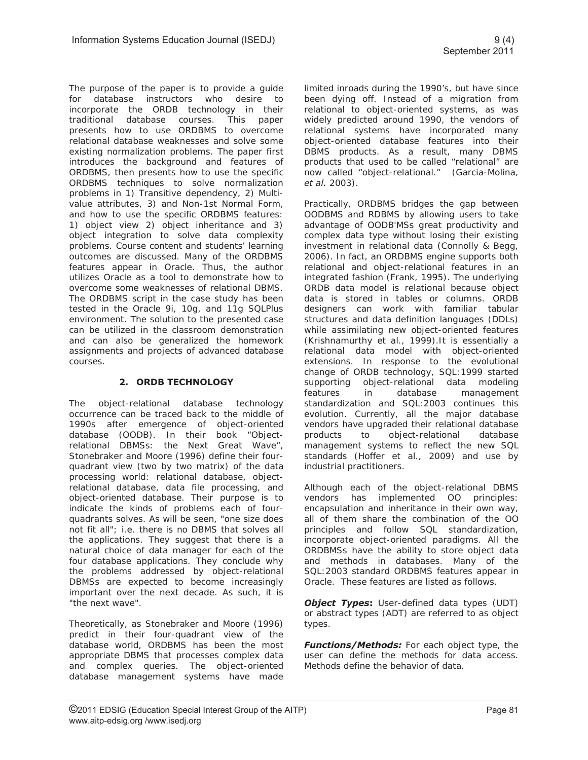The purpose of the paper is to provide a guide for database instructors who desire to incorporate the ORDB technology in their traditional database courses. This paper presents how to use ORDBMS to overcome relational database weaknesses and solve some existing normalization problems. The paper first introduces the background and features of ORDBMS, then presents how to use the specific ORDBMS techniques to solve normalization problems in 1) Transitive dependency, 2) Multivalue attributes, 3) and Non-1st Normal Form, and how to use the specific ORDBMS features: 1) object view 2) object inheritance and 3) object integration to solve data complexity problems. Course content and students' learning outcomes are discussed. Many of the ORDBMS features appear in Oracle. Thus, the author utilizes Oracle as a tool to demonstrate how to overcome some weaknesses of relational DBMS. The ORDBMS script in the case study has been tested in the Oracle 9i, 10g, and 11g SQLPlus environment. The solution to the presented case can be utilized in the classroom demonstration and can also be generalized the homework assignments and projects of advanced database courses.

# **2. ORDB TECHNOLOGY**

The object-relational database technology occurrence can be traced back to the middle of 1990s after emergence of object-oriented database (OODB). In their book "Objectrelational DBMSs: the Next Great Wave", Stonebraker and Moore (1996) define their fourquadrant view (two by two matrix) of the data processing world: relational database, objectrelational database, data file processing, and object-oriented database. Their purpose is to indicate the kinds of problems each of fourquadrants solves. As will be seen, "one size does not fit all"; i.e. there is no DBMS that solves all the applications. They suggest that there is a natural choice of data manager for each of the four database applications. They conclude why the problems addressed by object-relational DBMSs are expected to become increasingly important over the next decade. As such, it is "the next wave".

Theoretically, as Stonebraker and Moore (1996) predict in their four-quadrant view of the database world, ORDBMS has been the most appropriate DBMS that processes complex data and complex queries. The object-oriented database management systems have made limited inroads during the 1990's, but have since been dying off. Instead of a migration from relational to object-oriented systems, as was widely predicted around 1990, the vendors of relational systems have incorporated many object-oriented database features into their DBMS products. As a result, many DBMS products that used to be called "relational" are now called "object-relational." (Garcia-Molina, *et al.* 2003).

Practically, ORDBMS bridges the gap between OODBMS and RDBMS by allowing users to take advantage of OODB'MSs great productivity and complex data type without losing their existing investment in relational data (Connolly & Begg, 2006). In fact, an ORDBMS engine supports both relational and object-relational features in an integrated fashion (Frank, 1995). The underlying ORDB data model is relational because object data is stored in tables or columns. ORDB designers can work with familiar tabular structures and data definition languages (DDLs) while assimilating new object-oriented features (Krishnamurthy et al., 1999).It is essentially a relational data model with object-oriented extensions. In response to the evolutional change of ORDB technology, SQL:1999 started supporting object-relational data modeling features in database management standardization and SQL:2003 continues this evolution. Currently, all the major database vendors have upgraded their relational database products to object-relational database management systems to reflect the new SQL standards (Hoffer et al., 2009) and use by industrial practitioners.

Although each of the object-relational DBMS vendors has implemented OO principles: encapsulation and inheritance in their own way, all of them share the combination of the OO principles and follow SQL standardization, incorporate object-oriented paradigms. All the ORDBMSs have the ability to store object data and methods in databases. Many of the SQL:2003 standard ORDBMS features appear in Oracle. These features are listed as follows.

*Object Types***:** User-defined data types (UDT) or abstract types (ADT) are referred to as object types.

*Functions/Methods:* For each object type, the user can define the methods for data access. Methods define the behavior of data.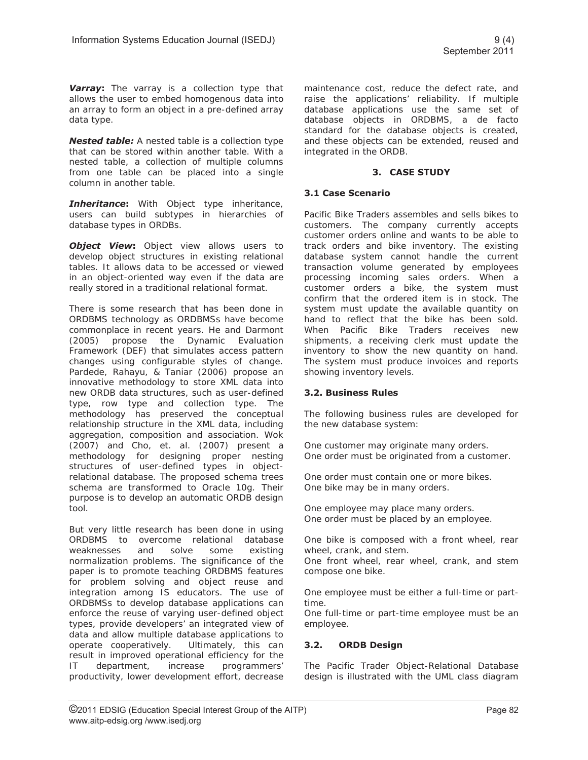**Varray:** The varray is a collection type that allows the user to embed homogenous data into an array to form an object in a pre-defined array data type.

*Nested table:* A nested table is a collection type that can be stored within another table. With a nested table, a collection of multiple columns from one table can be placed into a single column in another table.

*Inheritance***:** With Object type inheritance, users can build subtypes in hierarchies of database types in ORDBs.

**Object View:** Object view allows users to develop object structures in existing relational tables. It allows data to be accessed or viewed in an object-oriented way even if the data are really stored in a traditional relational format.

There is some research that has been done in ORDBMS technology as ORDBMSs have become commonplace in recent years. He and Darmont (2005) propose the Dynamic Evaluation Framework (DEF) that simulates access pattern changes using configurable styles of change. Pardede, Rahayu, & Taniar (2006) propose an innovative methodology to store XML data into new ORDB data structures, such as user-defined type, row type and collection type. The methodology has preserved the conceptual relationship structure in the XML data, including aggregation, composition and association. Wok (2007) and Cho, et. al. (2007) present a methodology for designing proper nesting structures of user-defined types in objectrelational database. The proposed schema trees schema are transformed to Oracle 10g. Their purpose is to develop an automatic ORDB design tool.

But very little research has been done in using ORDBMS to overcome relational database weaknesses and solve some existing normalization problems. The significance of the paper is to promote teaching ORDBMS features for problem solving and object reuse and integration among IS educators. The use of ORDBMSs to develop database applications can enforce the reuse of varying user-defined object types, provide developers' an integrated view of data and allow multiple database applications to operate cooperatively. Ultimately, this can result in improved operational efficiency for the IT department, increase programmers' productivity, lower development effort, decrease

maintenance cost, reduce the defect rate, and raise the applications' reliability. If multiple database applications use the same set of database objects in ORDBMS, a de facto standard for the database objects is created, and these objects can be extended, reused and integrated in the ORDB.

### **3. CASE STUDY**

#### **3.1 Case Scenario**

Pacific Bike Traders assembles and sells bikes to customers. The company currently accepts customer orders online and wants to be able to track orders and bike inventory. The existing database system cannot handle the current transaction volume generated by employees processing incoming sales orders. When a customer orders a bike, the system must confirm that the ordered item is in stock. The system must update the available quantity on hand to reflect that the bike has been sold. When Pacific Bike Traders receives new shipments, a receiving clerk must update the inventory to show the new quantity on hand. The system must produce invoices and reports showing inventory levels.

#### **3.2. Business Rules**

The following business rules are developed for the new database system:

One customer may originate many orders. One order must be originated from a customer.

One order must contain one or more bikes. One bike may be in many orders.

One employee may place many orders. One order must be placed by an employee.

One bike is composed with a front wheel, rear wheel, crank, and stem.

One front wheel, rear wheel, crank, and stem compose one bike.

One employee must be either a full-time or parttime.

One full-time or part-time employee must be an employee.

# **3.2. ORDB Design**

The Pacific Trader Object-Relational Database design is illustrated with the UML class diagram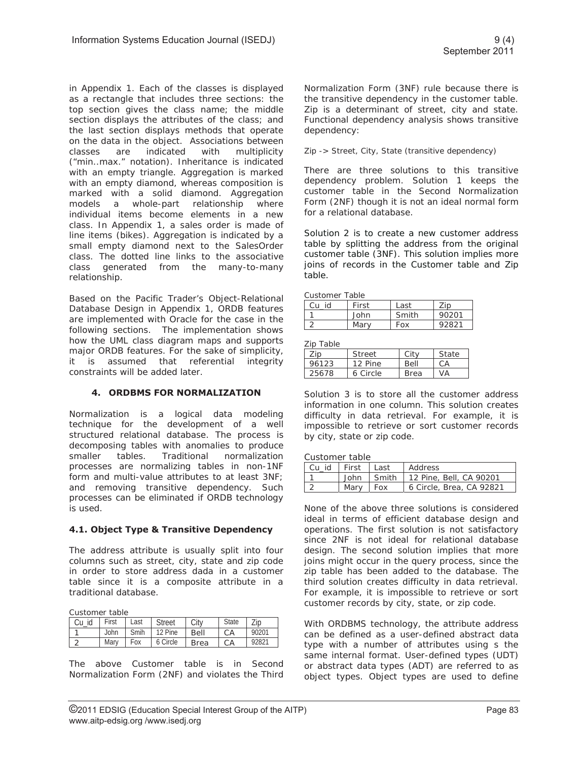in Appendix 1. Each of the classes is displayed as a rectangle that includes three sections: the top section gives the class name; the middle section displays the attributes of the class; and the last section displays methods that operate on the data in the object. Associations between classes are indicated with multiplicity ("min..max." notation). Inheritance is indicated with an empty triangle. Aggregation is marked with an empty diamond, whereas composition is marked with a solid diamond. Aggregation models a whole-part relationship where individual items become elements in a new class. In Appendix 1, a sales order is made of line items (bikes). Aggregation is indicated by a small empty diamond next to the SalesOrder class. The dotted line links to the associative class generated from the many-to-many relationship.

Based on the Pacific Trader's Object-Relational Database Design in Appendix 1, ORDB features are implemented with Oracle for the case in the following sections. The implementation shows how the UML class diagram maps and supports major ORDB features. For the sake of simplicity, it is assumed that referential integrity constraints will be added later.

# **4. ORDBMS FOR NORMALIZATION**

Normalization is a logical data modeling technique for the development of a well structured relational database. The process is decomposing tables with anomalies to produce smaller tables. Traditional normalization processes are normalizing tables in non-1NF form and multi-value attributes to at least 3NF; and removing transitive dependency. Such processes can be eliminated if ORDB technology is used.

# **4.1. Object Type & Transitive Dependency**

The address attribute is usually split into four columns such as street, city, state and zip code in order to store address dada in a customer table since it is a composite attribute in a traditional database.

Customer table

| Customer table |       |      |               |             |              |       |
|----------------|-------|------|---------------|-------------|--------------|-------|
| Cu id          | First | Last | <b>Street</b> |             | <b>State</b> | Zip   |
|                | John  | Smih | 12 Pine       | Bell        | СA           | 90201 |
|                | Marv  | Fox  | 6 Circle      | <b>Brea</b> |              | 92821 |

The above Customer table is in Second Normalization Form (2NF) and violates the Third Normalization Form (3NF) rule because there is the transitive dependency in the customer table. Zip is a determinant of street, city and state. Functional dependency analysis shows transitive dependency:

Zip -> Street, City, State (transitive dependency)

There are three solutions to this transitive dependency problem. Solution 1 keeps the customer table in the Second Normalization Form (2NF) though it is not an ideal normal form for a relational database.

Solution 2 is to create a new customer address table by splitting the address from the original customer table (3NF). This solution implies more joins of records in the Customer table and Zip table.

| Customer Table |  |  |
|----------------|--|--|
|                |  |  |

| Cu<br>id | First | Last  | $\overline{\phantom{a}}$ ip |  |  |
|----------|-------|-------|-----------------------------|--|--|
|          | John  | Smith | 90201                       |  |  |
| ⌒        | Marv  | Fox   | 92821                       |  |  |

**Zin Tahle** 

| פוט ומטופ |          |             |       |  |  |
|-----------|----------|-------------|-------|--|--|
| Zip       | Street   | City        | State |  |  |
| 96123     | 12 Pine  | Bell        | СA    |  |  |
| 25678     | 6 Circle | <b>Brea</b> | VA    |  |  |

Solution 3 is to store all the customer address information in one column. This solution creates difficulty in data retrieval. For example, it is impossible to retrieve or sort customer records by city, state or zip code.

Customer table

| I Cu id | First   Last |     | Address                                |  |
|---------|--------------|-----|----------------------------------------|--|
|         |              |     | John   Smith   12 Pine, Bell, CA 90201 |  |
|         | Mary         | Fox | 6 Circle, Brea, CA 92821               |  |

None of the above three solutions is considered ideal in terms of efficient database design and operations. The first solution is not satisfactory since 2NF is not ideal for relational database design. The second solution implies that more joins might occur in the query process, since the zip table has been added to the database. The third solution creates difficulty in data retrieval. For example, it is impossible to retrieve or sort customer records by city, state, or zip code.

With ORDBMS technology, the attribute address can be defined as a user-defined abstract data type with a number of attributes using s the same internal format. User-defined types (UDT) or abstract data types (ADT) are referred to as object types. Object types are used to define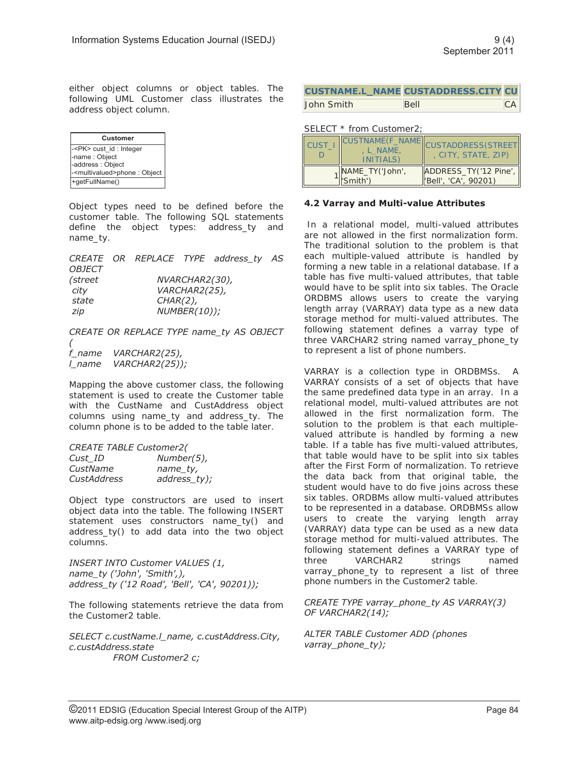either object columns or object tables. The following UML Customer class illustrates the address object column.

| <b>Customer</b>                             |
|---------------------------------------------|
| - <pk> cust_id : Integer</pk>               |
| -name: Object                               |
| -address : Object                           |
| - <multivalued>phone : Object</multivalued> |
| +getFullName()                              |

Object types need to be defined before the customer table. The following SQL statements define the object types: address\_ty and name\_ty.

|               |             |                | CREATE OR REPLACE TYPE address ty AS |  |
|---------------|-------------|----------------|--------------------------------------|--|
| <i>OBJECT</i> |             |                |                                      |  |
| (street       |             | NVARCHAR2(30), |                                      |  |
| city          |             | VARCHAR2(25),  |                                      |  |
| state         | $CHAR(2)$ , |                |                                      |  |
| zip           |             | NUMBER(10));   |                                      |  |
|               |             |                |                                      |  |

*CREATE OR REPLACE TYPE name\_ty AS OBJECT ( f\_name VARCHAR2(25), l\_name VARCHAR2(25));* 

Mapping the above customer class, the following statement is used to create the Customer table with the CustName and CustAddress object columns using name\_ty and address\_ty. The column phone is to be added to the table later.

*CREATE TABLE Customer2(* 

| Cust ID     | $Number(5)$ , |
|-------------|---------------|
| CustName    | name_ty,      |
| CustAddress | address_ty);  |

Object type constructors are used to insert object data into the table. The following INSERT statement uses constructors name\_ty() and address\_ty() to add data into the two object columns.

*INSERT INTO Customer VALUES (1, name\_ty ('John', 'Smith',), address\_ty ('12 Road', 'Bell', 'CA', 90201));* 

The following statements retrieve the data from the Customer2 table.

*SELECT c.custName.l\_name, c.custAddress.City, c.custAddress.state FROM Customer2 c;* 

|            | <b>CUSTNAME.L_NAME CUSTADDRESS.CITY CU</b> |           |
|------------|--------------------------------------------|-----------|
| John Smith | <b>Bell</b>                                | <b>CA</b> |

#### SELECT \* from Customer2;

| <b>CUST</b> | <b>CUSTNAME(F NAME)</b><br>L NAME,<br>INITIALS) | CUSTADDRESS(STREET<br>, CITY, STATE, ZIP)       |
|-------------|-------------------------------------------------|-------------------------------------------------|
|             | NAME_TY('John',<br>('Smith')                    | ADDRESS_TY('12 Pine',  <br>"Bell', 'CA', 90201) |

#### **4.2 Varray and Multi-value Attributes**

In a relational model, multi-valued attributes are not allowed in the first normalization form. The traditional solution to the problem is that each multiple-valued attribute is handled by forming a new table in a relational database. If a table has five multi-valued attributes, that table would have to be split into six tables. The Oracle ORDBMS allows users to create the varying length array (VARRAY) data type as a new data storage method for multi-valued attributes. The following statement defines a varray type of three VARCHAR2 string named varray\_phone\_ty to represent a list of phone numbers.

VARRAY is a collection type in ORDBMSs. A VARRAY consists of a set of objects that have the same predefined data type in an array. In a relational model, multi-valued attributes are not allowed in the first normalization form. The solution to the problem is that each multiplevalued attribute is handled by forming a new table. If a table has five multi-valued attributes, that table would have to be split into six tables after the First Form of normalization. To retrieve the data back from that original table, the student would have to do five joins across these six tables. ORDBMs allow multi-valued attributes to be represented in a database. ORDBMSs allow users to create the varying length array (VARRAY) data type can be used as a new data storage method for multi-valued attributes. The following statement defines a VARRAY type of three VARCHAR2 strings named varray\_phone\_ty to represent a list of three phone numbers in the Customer2 table.

#### *CREATE TYPE varray\_phone\_ty AS VARRAY(3) OF VARCHAR2(14);*

*ALTER TABLE Customer ADD (phones varray\_phone\_ty);*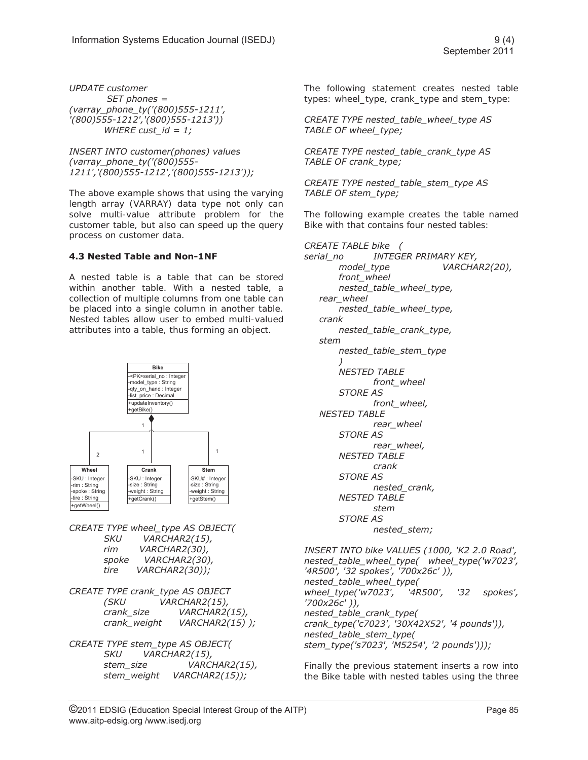*UPDATE customer SET phones = (varray\_phone\_ty('(800)555-1211', '(800)555-1212','(800)555-1213')) WHERE cust\_id = 1;* 

*INSERT INTO customer(phones) values (varray\_phone\_ty('(800)555- 1211','(800)555-1212','(800)555-1213'));* 

The above example shows that using the varying length array (VARRAY) data type not only can solve multi-value attribute problem for the customer table, but also can speed up the query process on customer data.

# **4.3 Nested Table and Non-1NF**

A nested table is a table that can be stored within another table. With a nested table, a collection of multiple columns from one table can be placed into a single column in another table. Nested tables allow user to embed multi-valued attributes into a table, thus forming an object.



*CREATE TYPE wheel\_type AS OBJECT( SKU VARCHAR2(15), rim VARCHAR2(30), spoke VARCHAR2(30), tire VARCHAR2(30));* 

*CREATE TYPE crank\_type AS OBJECT (SKU VARCHAR2(15), crank\_size VARCHAR2(15), crank\_weight VARCHAR2(15) );* 

*CREATE TYPE stem\_type AS OBJECT( SKU VARCHAR2(15), stem\_size VARCHAR2(15), stem\_weight VARCHAR2(15));* 

The following statement creates nested table types: wheel\_type, crank\_type and stem\_type:

*CREATE TYPE nested\_table\_wheel\_type AS TABLE OF wheel\_type;* 

*CREATE TYPE nested\_table\_crank\_type AS TABLE OF crank\_type;* 

*CREATE TYPE nested\_table\_stem\_type AS TABLE OF stem\_type;* 

The following example creates the table named Bike with that contains four nested tables:

*CREATE TABLE bike ( serial\_no INTEGER PRIMARY KEY, model\_type VARCHAR2(20), front\_wheel nested\_table\_wheel\_type, rear\_wheel nested\_table\_wheel\_type, crank nested\_table\_crank\_type, stem nested\_table\_stem\_type ) NESTED TABLE front\_wheel STORE AS front\_wheel, NESTED TABLE rear\_wheel STORE AS rear\_wheel, NESTED TABLE crank STORE AS nested\_crank, NESTED TABLE stem STORE AS nested\_stem;* 

*INSERT INTO bike VALUES (1000, 'K2 2.0 Road', nested\_table\_wheel\_type( wheel\_type('w7023', '4R500', '32 spokes', '700x26c' )), nested\_table\_wheel\_type( wheel\_type('w7023', '4R500', '32 spokes', '700x26c' )), nested\_table\_crank\_type( crank\_type('c7023', '30X42X52', '4 pounds')), nested\_table\_stem\_type( stem\_type('s7023', 'M5254', '2 pounds')));*

Finally the previous statement inserts a row into the Bike table with nested tables using the three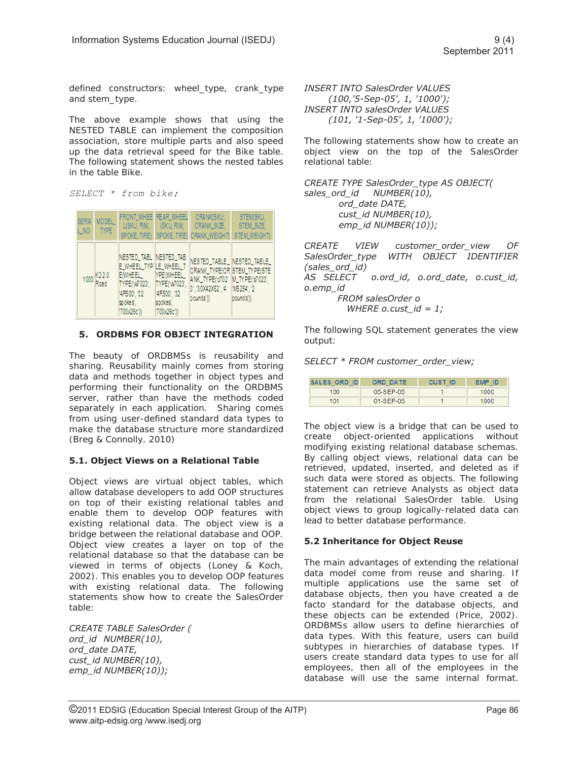defined constructors: wheel type, crank type and stem\_type.

The above example shows that using the NESTED TABLE can implement the composition association, store multiple parts and also speed up the data retrieval speed for the Bike table. The following statement shows the nested tables in the table Bike.

*SELECT \* from bike;* 

| <b>SERIA</b><br>L NO | MODEL_<br>TYPE | FRONT_WHEE <sup>I</sup> REAR_WHEEL                                                                                                               |                                         | CRANK(SKU,<br>L(SKU, RIM,   (SKU, RIM,   CRANK_SIZE,<br>SPOKE, TIRE) SPOKE, TIRE) CRANK_WEIGHT)                                                                                                                 | STEM(SKU,<br>STEM_SIZE.<br>STEM_WEIGHT) |
|----------------------|----------------|--------------------------------------------------------------------------------------------------------------------------------------------------|-----------------------------------------|-----------------------------------------------------------------------------------------------------------------------------------------------------------------------------------------------------------------|-----------------------------------------|
|                      | 1000 K22.0     | NESTED_TABL NESTED_TAB<br>E WHEEL TYPILE WHEEL T<br>E(WHEEL  YPE(WHEEL<br>TYPE('w7023', TYPE('w7023',<br>'4R500', '32<br>spokes'.<br>'700x26c')) | 14R500'. '32<br>spokes',<br>'700x26c')) | NESTED_TABLE_ NESTED_TABLE_<br>CRANK_TYPE(CR STEM_TYPE(STE<br>ANK_TYPE('c702 M_TYPE('s7023',<br>pounds')) and the set of the set of the set of the set of the set of the set of the set of the set of the set o | pounds'))                               |

# **5. ORDBMS FOR OBJECT INTEGRATION**

The beauty of ORDBMSs is reusability and sharing. Reusability mainly comes from storing data and methods together in object types and performing their functionality on the ORDBMS server, rather than have the methods coded separately in each application. Sharing comes from using user-defined standard data types to make the database structure more standardized (Breg & Connolly. 2010)

# **5.1. Object Views on a Relational Table**

Object views are virtual object tables, which allow database developers to add OOP structures on top of their existing relational tables and enable them to develop OOP features with existing relational data. The object view is a bridge between the relational database and OOP. Object view creates a layer on top of the relational database so that the database can be viewed in terms of objects (Loney & Koch, 2002). This enables you to develop OOP features with existing relational data. The following statements show how to create the SalesOrder table:

*CREATE TABLE SalesOrder ( ord\_id NUMBER(10), ord\_date DATE, cust\_id NUMBER(10), emp\_id NUMBER(10));* 

*INSERT INTO SalesOrder VALUES (100,'5-Sep-05', 1, '1000'); INSERT INTO salesOrder VALUES (101, '1-Sep-05', 1, '1000');* 

The following statements show how to create an object view on the top of the SalesOrder relational table:

*CREATE TYPE SalesOrder\_type AS OBJECT( sales\_ord\_id NUMBER(10), ord\_date DATE, cust\_id NUMBER(10), emp\_id NUMBER(10));* 

*CREATE VIEW customer\_order\_view OF SalesOrder\_type WITH OBJECT IDENTIFIER (sales\_ord\_id) AS SELECT o.ord\_id, o.ord\_date, o.cust\_id, o.emp\_id FROM salesOrder o WHERE o.cust\_id = 1;* 

The following SQL statement generates the view output:

*SELECT \* FROM customer\_order\_view;* 

| SALES ORD ID | ORD DATE    | CUST ID | -ID<br><b>EMP</b> |
|--------------|-------------|---------|-------------------|
| 100          | 05-SEP-05   |         | 1000              |
| 101          | $01-SFP-05$ |         | 1000              |

The object view is a bridge that can be used to create object-oriented applications without modifying existing relational database schemas. By calling object views, relational data can be retrieved, updated, inserted, and deleted as if such data were stored as objects. The following statement can retrieve Analysts as object data from the relational SalesOrder table. Using object views to group logically-related data can lead to better database performance.

# **5.2 Inheritance for Object Reuse**

The main advantages of extending the relational data model come from reuse and sharing. If multiple applications use the same set of database objects, then you have created a de facto standard for the database objects, and these objects can be extended (Price, 2002). ORDBMSs allow users to define hierarchies of data types. With this feature, users can build subtypes in hierarchies of database types. If users create standard data types to use for all employees, then all of the employees in the database will use the same internal format.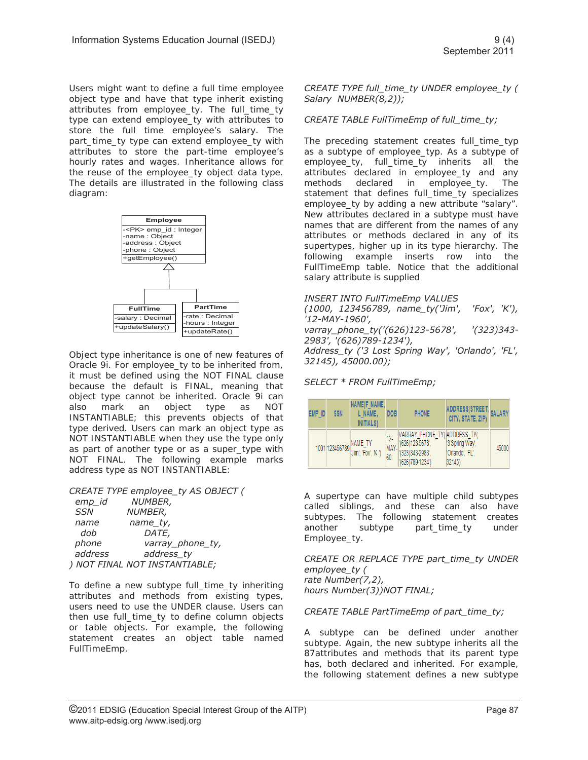Users might want to define a full time employee object type and have that type inherit existing attributes from employee\_ty. The full\_time\_ty type can extend employee\_ty with attributes to store the full time employee's salary. The part\_time\_ty type can extend employee\_ty with attributes to store the part-time employee's hourly rates and wages. Inheritance allows for the reuse of the employee\_ty object data type. The details are illustrated in the following class diagram:



Object type inheritance is one of new features of Oracle 9i. For employee\_ty to be inherited from, it must be defined using the NOT FINAL clause because the default is FINAL, meaning that object type cannot be inherited. Oracle 9i can also mark an object type as NOT INSTANTIABLE; this prevents objects of that type derived. Users can mark an object type as NOT INSTANTIABLE when they use the type only as part of another type or as a super\_type with NOT FINAL. The following example marks address type as NOT INSTANTIABLE:

*CREATE TYPE employee\_ty AS OBJECT (* 

| emp_id     | <i>NUMBER,</i>                |
|------------|-------------------------------|
| <b>SSN</b> | NUMBER,                       |
| name       | name_ty,                      |
| dob        | <i>DATE,</i>                  |
| phone      | varray_phone_ty,              |
| address    | address_ty                    |
|            | ) NOT FINAL NOT INSTANTIABLE; |
|            |                               |

To define a new subtype full\_time\_ty inheriting attributes and methods from existing types, users need to use the UNDER clause. Users can then use full\_time\_ty to define column objects or table objects. For example, the following statement creates an object table named FullTimeEmp.

*CREATE TYPE full\_time\_ty UNDER employee\_ty ( Salary NUMBER(8,2));* 

#### *CREATE TABLE FullTimeEmp of full\_time\_ty;*

The preceding statement creates full time typ as a subtype of employee\_typ. As a subtype of employee\_ty, full\_time\_ty inherits all the attributes declared in employee\_ty and any methods declared in employee\_ty. The statement that defines full\_time\_ty specializes employee\_ty by adding a new attribute "salary". New attributes declared in a subtype must have names that are different from the names of any attributes or methods declared in any of its supertypes, higher up in its type hierarchy. The following example inserts row into the FullTimeEmp table. Notice that the additional salary attribute is supplied

#### *INSERT INTO FullTimeEmp VALUES*

*(1000, 123456789, name\_ty('Jim', 'Fox', 'K'), '12-MAY-1960',* 

*varray\_phone\_ty('(626)123-5678', '(323)343- 2983', '(626)789-1234'),* 

*Address\_ty ('3 Lost Spring Way', 'Orlando', 'FL', 32145), 45000.00);* 

### *SELECT \* FROM FullTimeEmp;*

| EMP ID | <b>SSN</b> | NAME(F NAME,<br>L NAME.<br><b>INITIALS</b> ) | <b>DOB</b>        | <b>PHONE</b>                                                                            | ADDRESS(STREET,<br>CITY, STATE, ZIP)       | <b>SALARY</b> |
|--------|------------|----------------------------------------------|-------------------|-----------------------------------------------------------------------------------------|--------------------------------------------|---------------|
|        |            | 1001 123456789 NAME_TY<br>Uim', 'Fox', 'K ') | 12-<br>MAY-<br>60 | VARRAY PHONE TY('ADDRESS TY(<br>"(626)123-5678',<br>(323) 343-2983'.<br>(626)789-1234') | '3 Spring Way<br>'Orlando', 'FL',<br>32145 | 45000         |

A supertype can have multiple child subtypes called siblings, and these can also have subtypes. The following statement creates another subtype part\_time\_ty under Employee\_ty.

*CREATE OR REPLACE TYPE part\_time\_ty UNDER employee\_ty ( rate Number(7,2), hours Number(3))NOT FINAL;* 

*CREATE TABLE PartTimeEmp of part\_time\_ty;* 

A subtype can be defined under another subtype. Again, the new subtype inherits all the 87attributes and methods that its parent type has, both declared and inherited. For example, the following statement defines a new subtype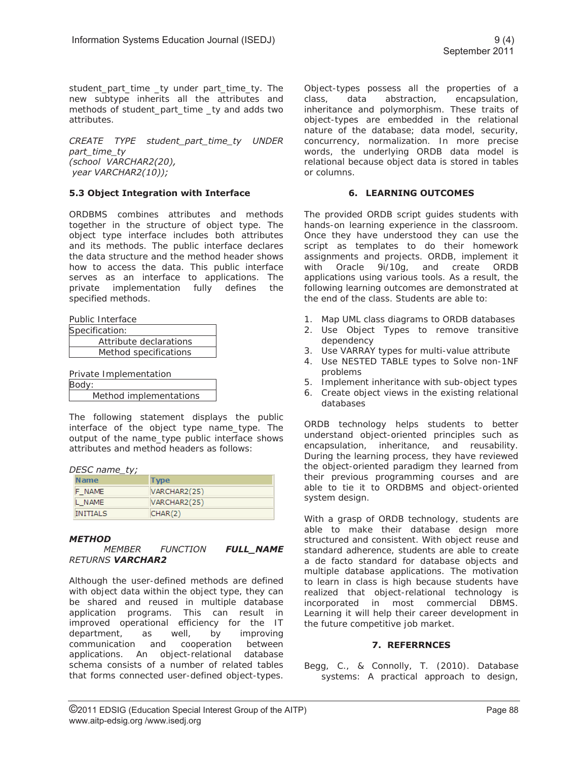student part time ty under part time ty. The new subtype inherits all the attributes and methods of student\_part\_time \_ty and adds two attributes.

*CREATE TYPE student\_part\_time\_ty UNDER part\_time\_ty (school VARCHAR2(20), year VARCHAR2(10));* 

# **5.3 Object Integration with Interface**

ORDBMS combines attributes and methods together in the structure of object type. The object type interface includes both attributes and its methods. The public interface declares the data structure and the method header shows how to access the data. This public interface serves as an interface to applications. The private implementation fully defines the specified methods.

Public Interface

| Specification:         |  |  |
|------------------------|--|--|
| Attribute declarations |  |  |
| Method specifications  |  |  |
|                        |  |  |

| Private Implementation |  |  |
|------------------------|--|--|
| Body:                  |  |  |
| Method implementations |  |  |

The following statement displays the public interface of the object type name\_type. The output of the name\_type public interface shows attributes and method headers as follows:

#### *DESC name\_ty;*

| <b>Name</b>     | <b>Type</b>  |
|-----------------|--------------|
| F NAME          | VARCHAR2(25) |
| L NAME          | VARCHAR2(25) |
| <b>INITIALS</b> | CHAR(2)      |

#### *METHOD*

 *MEMBER FUNCTION FULL\_NAME RETURNS VARCHAR2*

Although the user-defined methods are defined with object data within the object type, they can be shared and reused in multiple database application programs. This can result in improved operational efficiency for the IT department, as well, by improving communication and cooperation between applications. An object-relational database schema consists of a number of related tables that forms connected user-defined object-types.

Object-types possess all the properties of a class, data abstraction, encapsulation, inheritance and polymorphism. These traits of object-types are embedded in the relational nature of the database; data model, security, concurrency, normalization. In more precise words, the underlying ORDB data model is relational because object data is stored in tables or columns.

#### **6. LEARNING OUTCOMES**

The provided ORDB script guides students with hands-on learning experience in the classroom. Once they have understood they can use the script as templates to do their homework assignments and projects. ORDB, implement it with Oracle 9i/10g, and create ORDB applications using various tools. As a result, the following learning outcomes are demonstrated at the end of the class. Students are able to:

- 1. Map UML class diagrams to ORDB databases
- 2. Use Object Types to remove transitive dependency
- 3. Use VARRAY types for multi-value attribute
- 4. Use NESTED TABLE types to Solve non-1NF problems
- 5. Implement inheritance with sub-object types
- 6. Create object views in the existing relational databases

ORDB technology helps students to better understand object-oriented principles such as encapsulation, inheritance, and reusability. During the learning process, they have reviewed the object-oriented paradigm they learned from their previous programming courses and are able to tie it to ORDBMS and object-oriented system design.

With a grasp of ORDB technology, students are able to make their database design more structured and consistent. With object reuse and standard adherence, students are able to create a de facto standard for database objects and multiple database applications. The motivation to learn in class is high because students have realized that object-relational technology is incorporated in most commercial DBMS. Learning it will help their career development in the future competitive job market.

#### **7. REFERRNCES**

Begg, C., & Connolly, T. (2010). Database systems: A practical approach to design,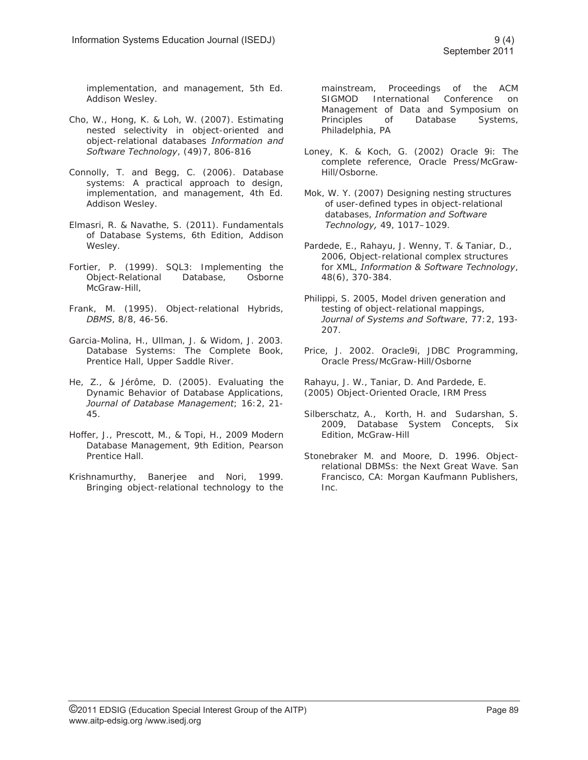implementation, and management, 5th Ed. Addison Wesley.

- Cho, W., Hong, K. & Loh, W. (2007). Estimating nested selectivity in object-oriented and object-relational databases *Information and Software Technology*, (49)7, 806-816
- Connolly, T. and Begg, C. (2006). Database systems: A practical approach to design, implementation, and management, 4th Ed. Addison Wesley.
- Elmasri, R. & Navathe, S. (2011). Fundamentals of Database Systems, 6th Edition, Addison Wesley.
- Fortier, P. (1999). SQL3: Implementing the Object-Relational Database, Osborne McGraw-Hill,
- Frank, M. (1995). Object-relational Hybrids, *DBMS*, 8/8, 46-56.
- Garcia-Molina, H., Ullman, J. & Widom, J. 2003. Database Systems: The Complete Book, Prentice Hall, Upper Saddle River.
- He, Z., & Jérôme, D. (2005). Evaluating the Dynamic Behavior of Database Applications, *Journal of Database Management*; 16:2, 21- 45.
- Hoffer, J., Prescott, M., & Topi, H., 2009 Modern Database Management, 9th Edition, Pearson Prentice Hall.
- Krishnamurthy, Banerjee and Nori, 1999. Bringing object-relational technology to the

mainstream, Proceedings of the ACM SIGMOD International Conference on Management of Data and Symposium on Principles of Database Systems, Philadelphia, PA

- Loney, K. & Koch, G. (2002) Oracle 9i: The complete reference, Oracle Press/McGraw-Hill/Osborne.
- Mok, W. Y. (2007) Designing nesting structures of user-defined types in object-relational databases, *Information and Software Technology,* 49, 1017–1029.
- Pardede, E., Rahayu, J. Wenny, T. & Taniar, D., 2006, Object-relational complex structures for XML, *Information & Software Technology*, 48(6), 370-384.
- Philippi, S. 2005, Model driven generation and testing of object-relational mappings, *Journal of Systems and Software*, 77:2, 193- 207.
- Price, J. 2002. Oracle9i, JDBC Programming, Oracle Press/McGraw-Hill/Osborne
- Rahayu, J. W., Taniar, D. And Pardede, E. (2005) Object-Oriented Oracle, IRM Press
- Silberschatz, A., Korth, H. and Sudarshan, S. 2009, Database System Concepts, Six Edition, McGraw-Hill
- Stonebraker M. and Moore, D. 1996. Objectrelational DBMSs: the Next Great Wave. San Francisco, CA: Morgan Kaufmann Publishers, Inc.